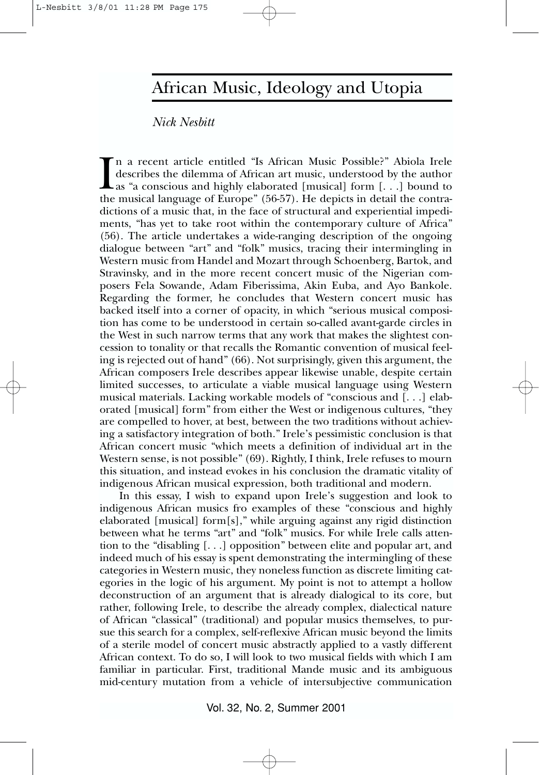## African Music, Ideology and Utopia

*Nick Nesbitt* 

 $\prod_{\text{the}}$ n a recent article entitled "Is African Music Possible?" Abiola Irele describes the dilemma of African art music, understood by the author as "a conscious and highly elaborated [musical] form [. . .] bound to the musical language of Europe" (56-57). He depicts in detail the contradictions of a music that, in the face of structural and experiential impediments, "has yet to take root within the contemporary culture of Africa" (56). The article undertakes a wide-ranging description of the ongoing dialogue between "art" and "folk" musics, tracing their intermingling in Western music from Handel and Mozart through Schoenberg, Bartok, and Stravinsky, and in the more recent concert music of the Nigerian composers Fela Sowande, Adam Fiberissima, Akin Euba, and Ayo Bankole. Regarding the former, he concludes that Western concert music has backed itself into a corner of opacity, in which "serious musical composition has come to be understood in certain so-called avant-garde circles in the West in such narrow terms that any work that makes the slightest concession to tonality or that recalls the Romantic convention of musical feeling is rejected out of hand" (66). Not surprisingly, given this argument, the African composers Irele describes appear likewise unable, despite certain limited successes, to articulate a viable musical language using Western musical materials. Lacking workable models of "conscious and [. . .] elaborated [musical] form" from either the West or indigenous cultures, "they are compelled to hover, at best, between the two traditions without achieving a satisfactory integration of both." Irele's pessimistic conclusion is that African concert music "which meets a definition of individual art in the Western sense, is not possible" (69). Rightly, I think, Irele refuses to mourn this situation, and instead evokes in his conclusion the dramatic vitality of indigenous African musical expression, both traditional and modern.

In this essay, I wish to expand upon Irele's suggestion and look to indigenous African musics fro examples of these "conscious and highly elaborated [musical] form[s]," while arguing against any rigid distinction between what he terms "art" and "folk" musics. For while Irele calls attention to the "disabling [. . .] opposition" between elite and popular art, and indeed much of his essay is spent demonstrating the intermingling of these categories in Western music, they noneless function as discrete limiting categories in the logic of his argument. My point is not to attempt a hollow deconstruction of an argument that is already dialogical to its core, but rather, following Irele, to describe the already complex, dialectical nature of African "classical" (traditional) and popular musics themselves, to pursue this search for a complex, self-reflexive African music beyond the limits of a sterile model of concert music abstractly applied to a vastly different African context. To do so, I will look to two musical fields with which I am familiar in particular. First, traditional Mande music and its ambiguous mid-century mutation from a vehicle of intersubjective communication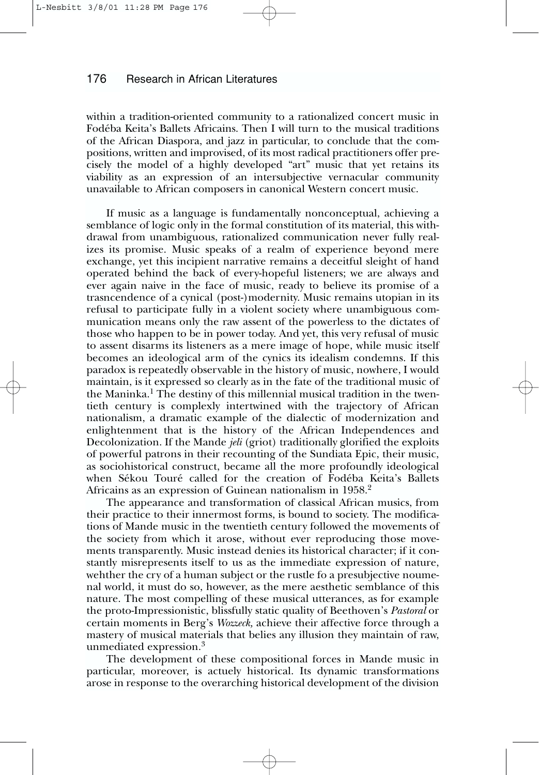within a tradition-oriented community to a rationalized concert music in Fodéba Keita's Ballets Africains. Then I will turn to the musical traditions of the African Diaspora, and jazz in particular, to conclude that the compositions, written and improvised, of its most radical practitioners offer precisely the model of a highly developed "art" music that yet retains its viability as an expression of an intersubjective vernacular community unavailable to African composers in canonical Western concert music.

If music as a language is fundamentally nonconceptual, achieving a semblance of logic only in the formal constitution of its material, this withdrawal from unambiguous, rationalized communication never fully realizes its promise. Music speaks of a realm of experience beyond mere exchange, yet this incipient narrative remains a deceitful sleight of hand operated behind the back of every-hopeful listeners; we are always and ever again naive in the face of music, ready to believe its promise of a trasncendence of a cynical (post-)modernity. Music remains utopian in its refusal to participate fully in a violent society where unambiguous communication means only the raw assent of the powerless to the dictates of those who happen to be in power today. And yet, this very refusal of music to assent disarms its listeners as a mere image of hope, while music itself becomes an ideological arm of the cynics its idealism condemns. If this paradox is repeatedly observable in the history of music, nowhere, I would maintain, is it expressed so clearly as in the fate of the traditional music of the Maninka.<sup>1</sup> The destiny of this millennial musical tradition in the twentieth century is complexly intertwined with the trajectory of African nationalism, a dramatic example of the dialectic of modernization and enlightenment that is the history of the African Independences and Decolonization. If the Mande *jeli* (griot) traditionally glorified the exploits of powerful patrons in their recounting of the Sundiata Epic, their music, as sociohistorical construct, became all the more profoundly ideological when Sékou Touré called for the creation of Fodéba Keita's Ballets Africains as an expression of Guinean nationalism in 1958.<sup>2</sup>

The appearance and transformation of classical African musics, from their practice to their innermost forms, is bound to society. The modifications of Mande music in the twentieth century followed the movements of the society from which it arose, without ever reproducing those movements transparently. Music instead denies its historical character; if it constantly misrepresents itself to us as the immediate expression of nature, wehther the cry of a human subject or the rustle fo a presubjective noumenal world, it must do so, however, as the mere aesthetic semblance of this nature. The most compelling of these musical utterances, as for example the proto-Impressionistic, blissfully static quality of Beethoven's *Pastoral* or certain moments in Berg's *Wozzeck,* achieve their affective force through a mastery of musical materials that belies any illusion they maintain of raw, unmediated expression.<sup>3</sup>

The development of these compositional forces in Mande music in particular, moreover, is actuely historical. Its dynamic transformations arose in response to the overarching historical development of the division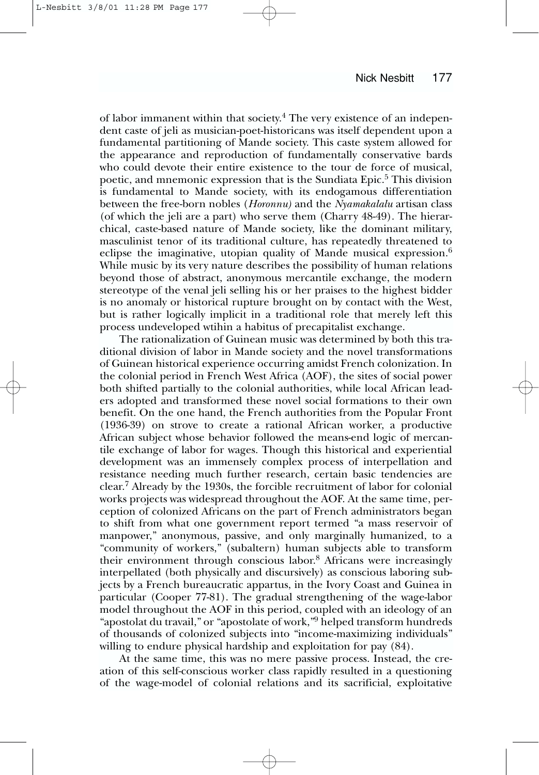of labor immanent within that society.<sup>4</sup> The very existence of an independent caste of jeli as musician-poet-historicans was itself dependent upon a fundamental partitioning of Mande society. This caste system allowed for the appearance and reproduction of fundamentally conservative bards who could devote their entire existence to the tour de force of musical, poetic, and mnemonic expression that is the Sundiata Epic.<sup>5</sup> This division is fundamental to Mande society, with its endogamous differentiation between the free-born nobles (*Horonnu)* and the *Nyamakalalu* artisan class (of which the jeli are a part) who serve them (Charry 48-49). The hierarchical, caste-based nature of Mande society, like the dominant military, masculinist tenor of its traditional culture, has repeatedly threatened to eclipse the imaginative, utopian quality of Mande musical expression.<sup>6</sup> While music by its very nature describes the possibility of human relations beyond those of abstract, anonymous mercantile exchange, the modern stereotype of the venal jeli selling his or her praises to the highest bidder is no anomaly or historical rupture brought on by contact with the West, but is rather logically implicit in a traditional role that merely left this process undeveloped wtihin a habitus of precapitalist exchange.

The rationalization of Guinean music was determined by both this traditional division of labor in Mande society and the novel transformations of Guinean historical experience occurring amidst French colonization. In the colonial period in French West Africa (AOF), the sites of social power both shifted partially to the colonial authorities, while local African leaders adopted and transformed these novel social formations to their own benefit. On the one hand, the French authorities from the Popular Front (1936-39) on strove to create a rational African worker, a productive African subject whose behavior followed the means-end logic of mercantile exchange of labor for wages. Though this historical and experiential development was an immensely complex process of interpellation and resistance needing much further research, certain basic tendencies are clear.7 Already by the 1930s, the forcible recruitment of labor for colonial works projects was widespread throughout the AOF. At the same time, perception of colonized Africans on the part of French administrators began to shift from what one government report termed "a mass reservoir of manpower," anonymous, passive, and only marginally humanized, to a "community of workers," (subaltern) human subjects able to transform their environment through conscious labor.8 Africans were increasingly interpellated (both physically and discursively) as conscious laboring subjects by a French bureaucratic appartus, in the Ivory Coast and Guinea in particular (Cooper 77-81). The gradual strengthening of the wage-labor model throughout the AOF in this period, coupled with an ideology of an "apostolat du travail," or "apostolate of work,"<sup>9</sup> helped transform hundreds of thousands of colonized subjects into "income-maximizing individuals" willing to endure physical hardship and exploitation for pay (84).

At the same time, this was no mere passive process. Instead, the creation of this self-conscious worker class rapidly resulted in a questioning of the wage-model of colonial relations and its sacrificial, exploitative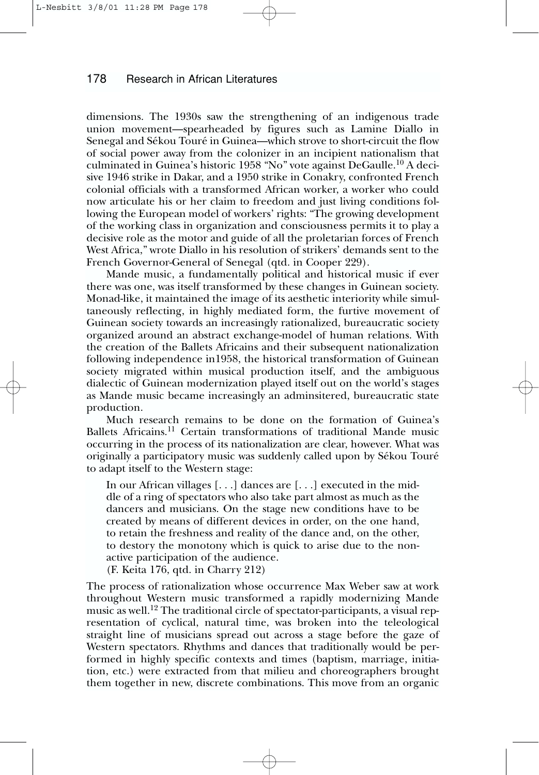dimensions. The 1930s saw the strengthening of an indigenous trade union movement—spearheaded by figures such as Lamine Diallo in Senegal and Sékou Touré in Guinea—which strove to short-circuit the flow of social power away from the colonizer in an incipient nationalism that culminated in Guinea's historic 1958 "No" vote against DeGaulle.<sup>10</sup> A decisive 1946 strike in Dakar, and a 1950 strike in Conakry, confronted French colonial officials with a transformed African worker, a worker who could now articulate his or her claim to freedom and just living conditions following the European model of workers' rights: "The growing development of the working class in organization and consciousness permits it to play a decisive role as the motor and guide of all the proletarian forces of French West Africa," wrote Diallo in his resolution of strikers' demands sent to the French Governor-General of Senegal (qtd. in Cooper 229).

Mande music, a fundamentally political and historical music if ever there was one, was itself transformed by these changes in Guinean society. Monad-like, it maintained the image of its aesthetic interiority while simultaneously reflecting, in highly mediated form, the furtive movement of Guinean society towards an increasingly rationalized, bureaucratic society organized around an abstract exchange-model of human relations. With the creation of the Ballets Africains and their subsequent nationalization following independence in1958, the historical transformation of Guinean society migrated within musical production itself, and the ambiguous dialectic of Guinean modernization played itself out on the world's stages as Mande music became increasingly an adminsitered, bureaucratic state production.

Much research remains to be done on the formation of Guinea's Ballets Africains.11 Certain transformations of traditional Mande music occurring in the process of its nationalization are clear, however. What was originally a participatory music was suddenly called upon by Sékou Touré to adapt itself to the Western stage:

In our African villages [. . .] dances are [. . .] executed in the middle of a ring of spectators who also take part almost as much as the dancers and musicians. On the stage new conditions have to be created by means of different devices in order, on the one hand, to retain the freshness and reality of the dance and, on the other, to destory the monotony which is quick to arise due to the nonactive participation of the audience.

(F. Keita 176, qtd. in Charry 212)

The process of rationalization whose occurrence Max Weber saw at work throughout Western music transformed a rapidly modernizing Mande music as well.<sup>12</sup> The traditional circle of spectator-participants, a visual representation of cyclical, natural time, was broken into the teleological straight line of musicians spread out across a stage before the gaze of Western spectators. Rhythms and dances that traditionally would be performed in highly specific contexts and times (baptism, marriage, initiation, etc.) were extracted from that milieu and choreographers brought them together in new, discrete combinations. This move from an organic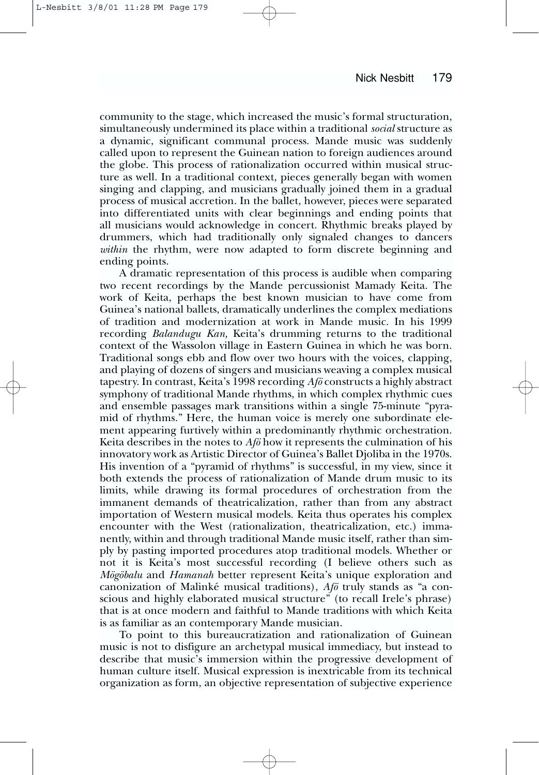community to the stage, which increased the music's formal structuration, simultaneously undermined its place within a traditional *social* structure as a dynamic, significant communal process. Mande music was suddenly called upon to represent the Guinean nation to foreign audiences around the globe. This process of rationalization occurred within musical structure as well. In a traditional context, pieces generally began with women singing and clapping, and musicians gradually joined them in a gradual process of musical accretion. In the ballet, however, pieces were separated into differentiated units with clear beginnings and ending points that all musicians would acknowledge in concert. Rhythmic breaks played by drummers, which had traditionally only signaled changes to dancers *within* the rhythm, were now adapted to form discrete beginning and ending points.

A dramatic representation of this process is audible when comparing two recent recordings by the Mande percussionist Mamady Keita. The work of Keita, perhaps the best known musician to have come from Guinea's national ballets, dramatically underlines the complex mediations of tradition and modernization at work in Mande music. In his 1999 recording *Balandugu Kan,* Keita's drumming returns to the traditional context of the Wassolon village in Eastern Guinea in which he was born. Traditional songs ebb and flow over two hours with the voices, clapping, and playing of dozens of singers and musicians weaving a complex musical tapestry. In contrast, Keita's 1998 recording *Afö* constructs a highly abstract symphony of traditional Mande rhythms, in which complex rhythmic cues and ensemble passages mark transitions within a single 75-minute "pyramid of rhythms." Here, the human voice is merely one subordinate element appearing furtively within a predominantly rhythmic orchestration. Keita describes in the notes to *Afö* how it represents the culmination of his innovatory work as Artistic Director of Guinea's Ballet Djoliba in the 1970s. His invention of a "pyramid of rhythms" is successful, in my view, since it both extends the process of rationalization of Mande drum music to its limits, while drawing its formal procedures of orchestration from the immanent demands of theatricalization, rather than from any abstract importation of Western musical models. Keita thus operates his complex encounter with the West (rationalization, theatricalization, etc.) immanently, within and through traditional Mande music itself, rather than simply by pasting imported procedures atop traditional models. Whether or not it is Keita's most successful recording (I believe others such as *Mögöbalu* and *Hamanah* better represent Keita's unique exploration and canonization of Malinké musical traditions), *Afö* truly stands as "a conscious and highly elaborated musical structure" (to recall Irele's phrase) that is at once modern and faithful to Mande traditions with which Keita is as familiar as an contemporary Mande musician.

To point to this bureaucratization and rationalization of Guinean music is not to disfigure an archetypal musical immediacy, but instead to describe that music's immersion within the progressive development of human culture itself. Musical expression is inextricable from its technical organization as form, an objective representation of subjective experience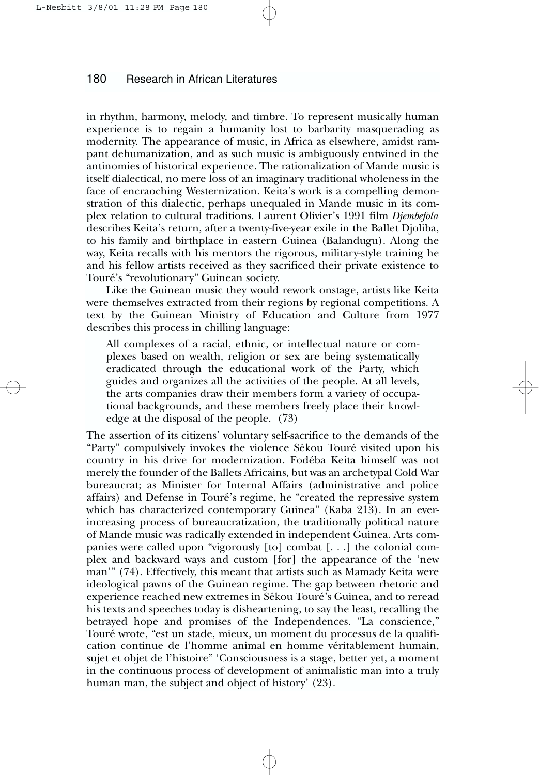in rhythm, harmony, melody, and timbre. To represent musically human experience is to regain a humanity lost to barbarity masquerading as modernity. The appearance of music, in Africa as elsewhere, amidst rampant dehumanization, and as such music is ambiguously entwined in the antinomies of historical experience. The rationalization of Mande music is itself dialectical, no mere loss of an imaginary traditional wholeness in the face of encraoching Westernization. Keita's work is a compelling demonstration of this dialectic, perhaps unequaled in Mande music in its complex relation to cultural traditions. Laurent Olivier's 1991 film *Djembefola* describes Keita's return, after a twenty-five-year exile in the Ballet Djoliba, to his family and birthplace in eastern Guinea (Balandugu). Along the way, Keita recalls with his mentors the rigorous, military-style training he and his fellow artists received as they sacrificed their private existence to Touré's "revolutionary" Guinean society.

Like the Guinean music they would rework onstage, artists like Keita were themselves extracted from their regions by regional competitions. A text by the Guinean Ministry of Education and Culture from 1977 describes this process in chilling language:

All complexes of a racial, ethnic, or intellectual nature or complexes based on wealth, religion or sex are being systematically eradicated through the educational work of the Party, which guides and organizes all the activities of the people. At all levels, the arts companies draw their members form a variety of occupational backgrounds, and these members freely place their knowledge at the disposal of the people. (73)

The assertion of its citizens' voluntary self-sacrifice to the demands of the "Party" compulsively invokes the violence Sékou Touré visited upon his country in his drive for modernization. Fodéba Keita himself was not merely the founder of the Ballets Africains, but was an archetypal Cold War bureaucrat; as Minister for Internal Affairs (administrative and police affairs) and Defense in Touré's regime, he "created the repressive system which has characterized contemporary Guinea" (Kaba 213). In an everincreasing process of bureaucratization, the traditionally political nature of Mande music was radically extended in independent Guinea. Arts companies were called upon "vigorously [to] combat [. . .] the colonial complex and backward ways and custom [for] the appearance of the 'new man'" (74). Effectively, this meant that artists such as Mamady Keita were ideological pawns of the Guinean regime. The gap between rhetoric and experience reached new extremes in Sékou Touré's Guinea, and to reread his texts and speeches today is disheartening, to say the least, recalling the betrayed hope and promises of the Independences. "La conscience," Touré wrote, "est un stade, mieux, un moment du processus de la qualification continue de l'homme animal en homme véritablement humain, sujet et objet de l'histoire" 'Consciousness is a stage, better yet, a moment in the continuous process of development of animalistic man into a truly human man, the subject and object of history' (23).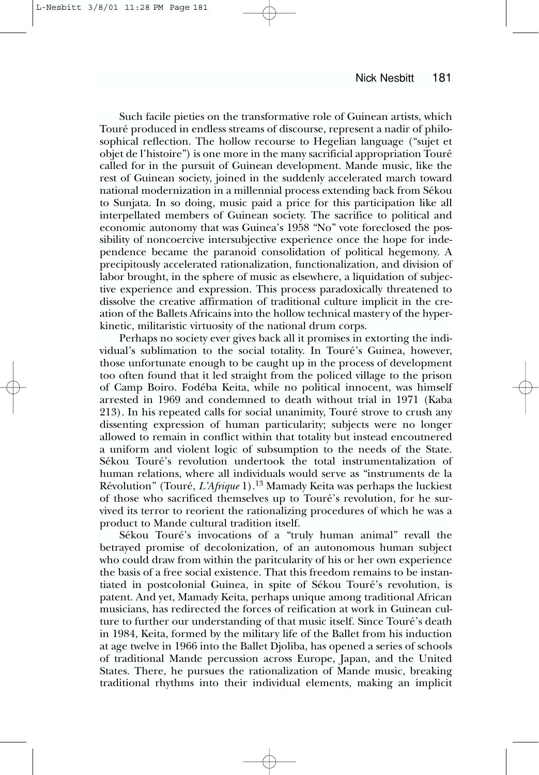Such facile pieties on the transformative role of Guinean artists, which Touré produced in endless streams of discourse, represent a nadir of philosophical reflection. The hollow recourse to Hegelian language ("sujet et objet de l'histoire") is one more in the many sacrificial appropriation Touré called for in the pursuit of Guinean development. Mande music, like the rest of Guinean society, joined in the suddenly accelerated march toward national modernization in a millennial process extending back from Sékou to Sunjata. In so doing, music paid a price for this participation like all interpellated members of Guinean society. The sacrifice to political and economic autonomy that was Guinea's 1958 "No" vote foreclosed the possibility of noncoercive intersubjective experience once the hope for independence became the paranoid consolidation of political hegemony. A precipitously accelerated rationalization, functionalization, and division of labor brought, in the sphere of music as elsewhere, a liquidation of subjective experience and expression. This process paradoxically threatened to dissolve the creative affirmation of traditional culture implicit in the creation of the Ballets Africains into the hollow technical mastery of the hyperkinetic, militaristic virtuosity of the national drum corps.

Perhaps no society ever gives back all it promises in extorting the individual's sublimation to the social totality. In Touré's Guinea, however, those unfortunate enough to be caught up in the process of development too often found that it led straight from the policed village to the prison of Camp Boiro. Fodéba Keita, while no political innocent, was himself arrested in 1969 and condemned to death without trial in 1971 (Kaba 213). In his repeated calls for social unanimity, Touré strove to crush any dissenting expression of human particularity; subjects were no longer allowed to remain in conflict within that totality but instead encoutnered a uniform and violent logic of subsumption to the needs of the State. Sékou Touré's revolution undertook the total instrumentalization of human relations, where all individuals would serve as "instruments de la Révolution" (Touré, *L'Afrique* 1).<sup>13</sup> Mamady Keita was perhaps the luckiest of those who sacrificed themselves up to Touré's revolution, for he survived its terror to reorient the rationalizing procedures of which he was a product to Mande cultural tradition itself.

Sékou Touré's invocations of a "truly human animal" revall the betrayed promise of decolonization, of an autonomous human subject who could draw from within the paritcularity of his or her own experience the basis of a free social existence. That this freedom remains to be instantiated in postcolonial Guinea, in spite of Sékou Touré's revolution, is patent. And yet, Mamady Keita, perhaps unique among traditional African musicians, has redirected the forces of reification at work in Guinean culture to further our understanding of that music itself. Since Touré's death in 1984, Keita, formed by the military life of the Ballet from his induction at age twelve in 1966 into the Ballet Djoliba, has opened a series of schools of traditional Mande percussion across Europe, Japan, and the United States. There, he pursues the rationalization of Mande music, breaking traditional rhythms into their individual elements, making an implicit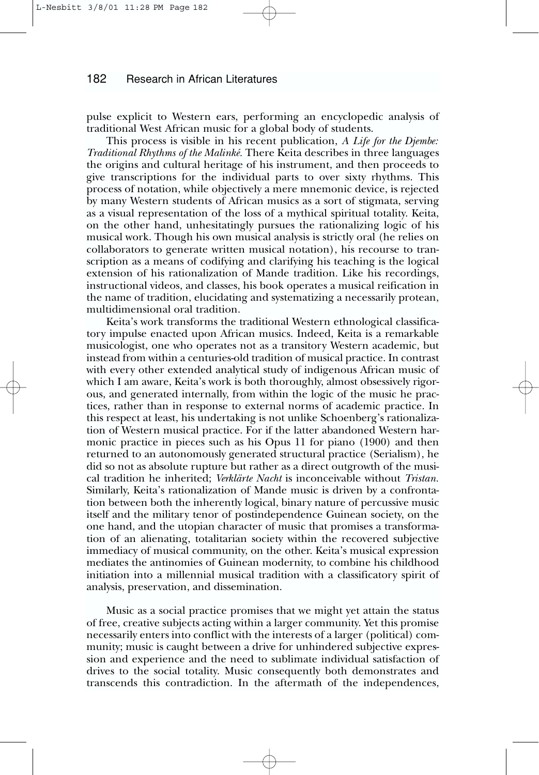pulse explicit to Western ears, performing an encyclopedic analysis of traditional West African music for a global body of students.

This process is visible in his recent publication, *A Life for the Djembe: Traditional Rhythms of the Malinké.* There Keita describes in three languages the origins and cultural heritage of his instrument, and then proceeds to give transcriptions for the individual parts to over sixty rhythms. This process of notation, while objectively a mere mnemonic device, is rejected by many Western students of African musics as a sort of stigmata, serving as a visual representation of the loss of a mythical spiritual totality. Keita, on the other hand, unhesitatingly pursues the rationalizing logic of his musical work. Though his own musical analysis is strictly oral (he relies on collaborators to generate written musical notation), his recourse to transcription as a means of codifying and clarifying his teaching is the logical extension of his rationalization of Mande tradition. Like his recordings, instructional videos, and classes, his book operates a musical reification in the name of tradition, elucidating and systematizing a necessarily protean, multidimensional oral tradition.

Keita's work transforms the traditional Western ethnological classificatory impulse enacted upon African musics. Indeed, Keita is a remarkable musicologist, one who operates not as a transitory Western academic, but instead from within a centuries-old tradition of musical practice. In contrast with every other extended analytical study of indigenous African music of which I am aware, Keita's work is both thoroughly, almost obsessively rigorous, and generated internally, from within the logic of the music he practices, rather than in response to external norms of academic practice. In this respect at least, his undertaking is not unlike Schoenberg's rationalization of Western musical practice. For if the latter abandoned Western harmonic practice in pieces such as his Opus 11 for piano (1900) and then returned to an autonomously generated structural practice (Serialism), he did so not as absolute rupture but rather as a direct outgrowth of the musical tradition he inherited; *Verklärte Nacht* is inconceivable without *Tristan.* Similarly, Keita's rationalization of Mande music is driven by a confrontation between both the inherently logical, binary nature of percussive music itself and the military tenor of postindependence Guinean society, on the one hand, and the utopian character of music that promises a transformation of an alienating, totalitarian society within the recovered subjective immediacy of musical community, on the other. Keita's musical expression mediates the antinomies of Guinean modernity, to combine his childhood initiation into a millennial musical tradition with a classificatory spirit of analysis, preservation, and dissemination.

Music as a social practice promises that we might yet attain the status of free, creative subjects acting within a larger community. Yet this promise necessarily enters into conflict with the interests of a larger (political) community; music is caught between a drive for unhindered subjective expression and experience and the need to sublimate individual satisfaction of drives to the social totality. Music consequently both demonstrates and transcends this contradiction. In the aftermath of the independences,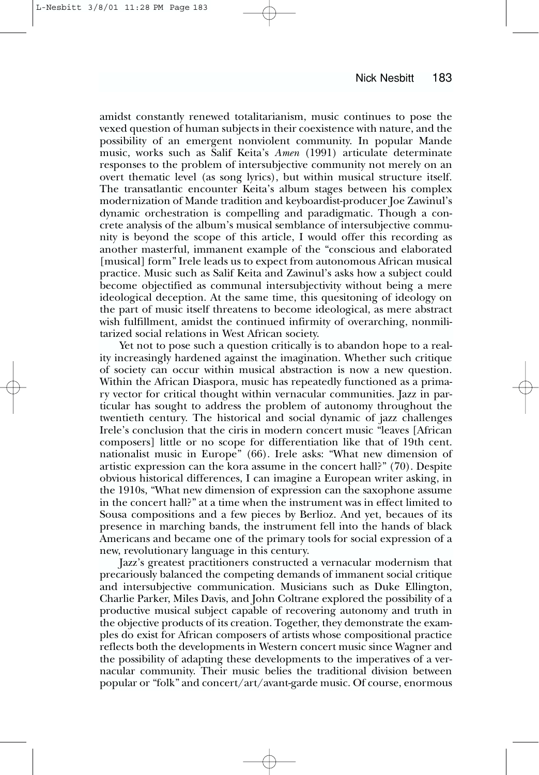amidst constantly renewed totalitarianism, music continues to pose the vexed question of human subjects in their coexistence with nature, and the possibility of an emergent nonviolent community. In popular Mande music, works such as Salif Keita's *Amen* (1991) articulate determinate responses to the problem of intersubjective community not merely on an overt thematic level (as song lyrics), but within musical structure itself. The transatlantic encounter Keita's album stages between his complex modernization of Mande tradition and keyboardist-producer Joe Zawinul's dynamic orchestration is compelling and paradigmatic. Though a concrete analysis of the album's musical semblance of intersubjective community is beyond the scope of this article, I would offer this recording as another masterful, immanent example of the "conscious and elaborated [musical] form" Irele leads us to expect from autonomous African musical practice. Music such as Salif Keita and Zawinul's asks how a subject could become objectified as communal intersubjectivity without being a mere ideological deception. At the same time, this quesitoning of ideology on the part of music itself threatens to become ideological, as mere abstract wish fulfillment, amidst the continued infirmity of overarching, nonmilitarized social relations in West African society.

Yet not to pose such a question critically is to abandon hope to a reality increasingly hardened against the imagination. Whether such critique of society can occur within musical abstraction is now a new question. Within the African Diaspora, music has repeatedly functioned as a primary vector for critical thought within vernacular communities. Jazz in particular has sought to address the problem of autonomy throughout the twentieth century. The historical and social dynamic of jazz challenges Irele's conclusion that the ciris in modern concert music "leaves [African composers] little or no scope for differentiation like that of 19th cent. nationalist music in Europe" (66). Irele asks: "What new dimension of artistic expression can the kora assume in the concert hall?" (70). Despite obvious historical differences, I can imagine a European writer asking, in the 1910s, "What new dimension of expression can the saxophone assume in the concert hall?" at a time when the instrument was in effect limited to Sousa compositions and a few pieces by Berlioz. And yet, becaues of its presence in marching bands, the instrument fell into the hands of black Americans and became one of the primary tools for social expression of a new, revolutionary language in this century.

Jazz's greatest practitioners constructed a vernacular modernism that precariously balanced the competing demands of immanent social critique and intersubjective communication. Musicians such as Duke Ellington, Charlie Parker, Miles Davis, and John Coltrane explored the possibility of a productive musical subject capable of recovering autonomy and truth in the objective products of its creation. Together, they demonstrate the examples do exist for African composers of artists whose compositional practice reflects both the developments in Western concert music since Wagner and the possibility of adapting these developments to the imperatives of a vernacular community. Their music belies the traditional division between popular or "folk" and concert/art/avant-garde music. Of course, enormous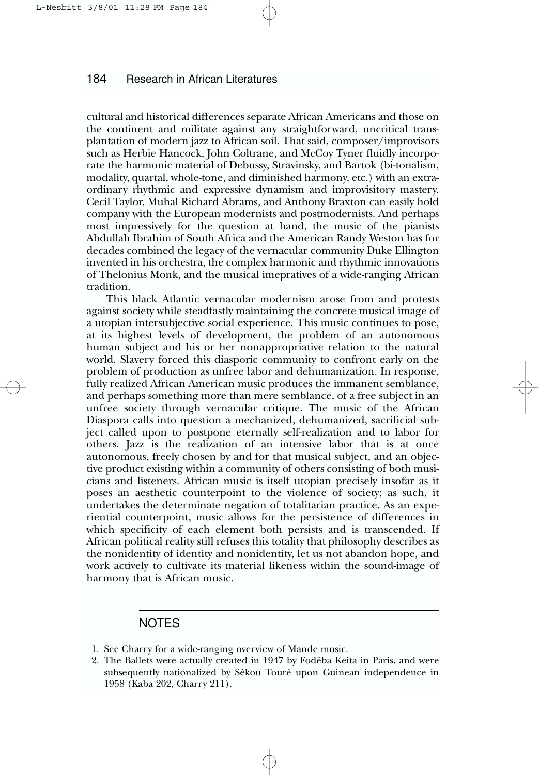cultural and historical differences separate African Americans and those on the continent and militate against any straightforward, uncritical transplantation of modern jazz to African soil. That said, composer/improvisors such as Herbie Hancock, John Coltrane, and McCoy Tyner fluidly incorporate the harmonic material of Debussy, Stravinsky, and Bartok (bi-tonalism, modality, quartal, whole-tone, and diminished harmony, etc.) with an extraordinary rhythmic and expressive dynamism and improvisitory mastery. Cecil Taylor, Muhal Richard Abrams, and Anthony Braxton can easily hold company with the European modernists and postmodernists. And perhaps most impressively for the question at hand, the music of the pianists Abdullah Ibrahim of South Africa and the American Randy Weston has for decades combined the legacy of the vernacular community Duke Ellington invented in his orchestra, the complex harmonic and rhythmic innovations of Thelonius Monk, and the musical imepratives of a wide-ranging African tradition.

This black Atlantic vernacular modernism arose from and protests against society while steadfastly maintaining the concrete musical image of a utopian intersubjective social experience. This music continues to pose, at its highest levels of development, the problem of an autonomous human subject and his or her nonappropriative relation to the natural world. Slavery forced this diasporic community to confront early on the problem of production as unfree labor and dehumanization. In response, fully realized African American music produces the immanent semblance, and perhaps something more than mere semblance, of a free subject in an unfree society through vernacular critique. The music of the African Diaspora calls into question a mechanized, dehumanized, sacrificial subject called upon to postpone eternally self-realization and to labor for others. Jazz is the realization of an intensive labor that is at once autonomous, freely chosen by and for that musical subject, and an objective product existing within a community of others consisting of both musicians and listeners. African music is itself utopian precisely insofar as it poses an aesthetic counterpoint to the violence of society; as such, it undertakes the determinate negation of totalitarian practice. As an experiential counterpoint, music allows for the persistence of differences in which specificity of each element both persists and is transcended. If African political reality still refuses this totality that philosophy describes as the nonidentity of identity and nonidentity, let us not abandon hope, and work actively to cultivate its material likeness within the sound-image of harmony that is African music.

## NOTES

- 1. See Charry for a wide-ranging overview of Mande music.
- 2. The Ballets were actually created in 1947 by Fodéba Keita in Paris, and were subsequently nationalized by Sékou Touré upon Guinean independence in 1958 (Kaba 202, Charry 211).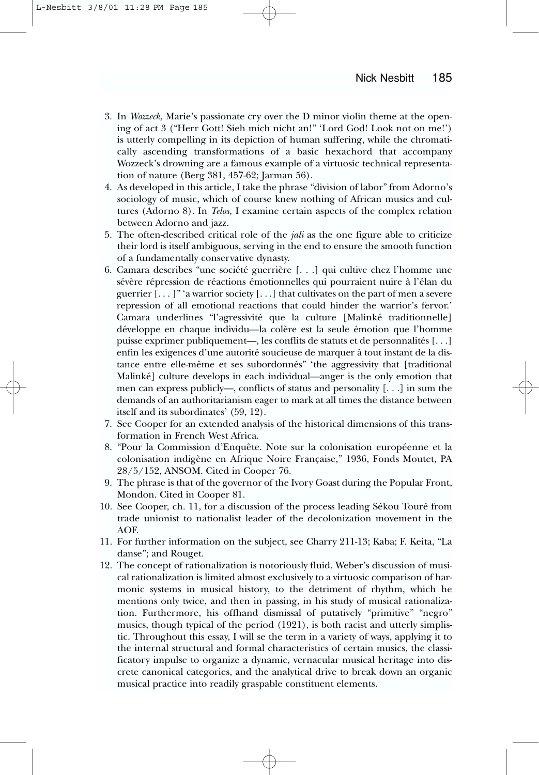- 3. In *Wozzeck,* Marie's passionate cry over the D minor violin theme at the opening of act 3 ("Herr Gott! Sieh mich nicht an!" 'Lord God! Look not on me!') is utterly compelling in its depiction of human suffering, while the chromatically ascending transformations of a basic hexachord that accompany Wozzeck's drowning are a famous example of a virtuosic technical representation of nature (Berg 381, 457-62; Jarman 56).
- 4. As developed in this article, I take the phrase "division of labor" from Adorno's sociology of music, which of course knew nothing of African musics and cultures (Adorno 8). In *Telos,* I examine certain aspects of the complex relation between Adorno and jazz.
- 5. The often-described critical role of the *jali* as the one figure able to criticize their lord is itself ambiguous, serving in the end to ensure the smooth function of a fundamentally conservative dynasty.
- 6. Camara describes "une société guerrière [. . .] qui cultive chez l'homme une sévère répression de réactions émotionnelles qui pourraient nuire à l'élan du guerrier  $[\dots]$ " 'a warrior society  $[\dots]$  that cultivates on the part of men a severe repression of all emotional reactions that could hinder the warrior's fervor.' Camara underlines "l'agressivité que la culture [Malinké traditionnelle] développe en chaque individu—la colère est la seule émotion que l'homme puisse exprimer publiquement—, les conflits de statuts et de personnalités [. . .] enfin les exigences d'une autorité soucieuse de marquer à tout instant de la distance entre elle-même et ses subordonnés" 'the aggressivity that [traditional Malinké] culture develops in each individual—anger is the only emotion that men can express publicly—, conflicts of status and personality [. . .] in sum the demands of an authoritarianism eager to mark at all times the distance between itself and its subordinates' (59, 12).
- 7. See Cooper for an extended analysis of the historical dimensions of this transformation in French West Africa.
- 8. "Pour la Commission d'Enquête. Note sur la colonisation européenne et la colonisation indigène en Afrique Noire Française," 1936, Fonds Moutet, PA 28/5/152, ANSOM. Cited in Cooper 76.
- 9. The phrase is that of the governor of the Ivory Goast during the Popular Front, Mondon. Cited in Cooper 81.
- 10. See Cooper, ch. 11, for a discussion of the process leading Sékou Touré from trade unionist to nationalist leader of the decolonization movement in the AOF.
- 11. For further information on the subject, see Charry 211-13; Kaba; F. Keita, "La danse"; and Rouget.
- 12. The concept of rationalization is notoriously fluid. Weber's discussion of musical rationalization is limited almost exclusively to a virtuosic comparison of harmonic systems in musical history, to the detriment of rhythm, which he mentions only twice, and then in passing, in his study of musical rationalization. Furthermore, his offhand dismissal of putatively "primitive" "negro" musics, though typical of the period (1921), is both racist and utterly simplistic. Throughout this essay, I will se the term in a variety of ways, applying it to the internal structural and formal characteristics of certain musics, the classificatory impulse to organize a dynamic, vernacular musical heritage into discrete canonical categories, and the analytical drive to break down an organic musical practice into readily graspable constituent elements.